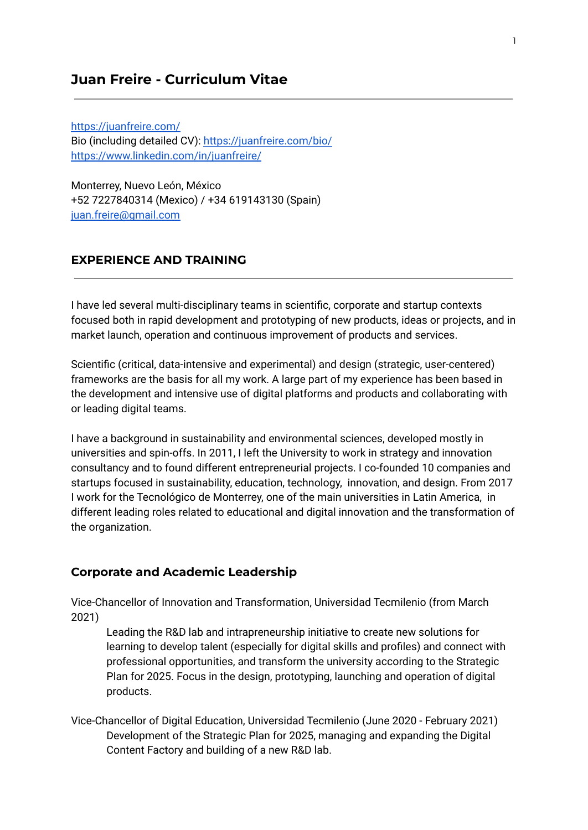# **Juan Freire - Curriculum Vitae**

<https://juanfreire.com/> Bio (including detailed CV): <https://juanfreire.com/bio/> <https://www.linkedin.com/in/juanfreire/>

Monterrey, Nuevo León, México +52 7227840314 (Mexico) / +34 619143130 (Spain) [juan.freire@gmail.com](mailto:juan.freire@gmail.com)

#### **EXPERIENCE AND TRAINING**

I have led several multi-disciplinary teams in scientific, corporate and startup contexts focused both in rapid development and prototyping of new products, ideas or projects, and in market launch, operation and continuous improvement of products and services.

Scientific (critical, data-intensive and experimental) and design (strategic, user-centered) frameworks are the basis for all my work. A large part of my experience has been based in the development and intensive use of digital platforms and products and collaborating with or leading digital teams.

I have a background in sustainability and environmental sciences, developed mostly in universities and spin-offs. In 2011, I left the University to work in strategy and innovation consultancy and to found different entrepreneurial projects. I co-founded 10 companies and startups focused in sustainability, education, technology, innovation, and design. From 2017 I work for the Tecnológico de Monterrey, one of the main universities in Latin America, in different leading roles related to educational and digital innovation and the transformation of the organization.

#### **Corporate and Academic Leadership**

Vice-Chancellor of Innovation and Transformation, Universidad Tecmilenio (from March 2021)

Leading the R&D lab and intrapreneurship initiative to create new solutions for learning to develop talent (especially for digital skills and profiles) and connect with professional opportunities, and transform the university according to the Strategic Plan for 2025. Focus in the design, prototyping, launching and operation of digital products.

Vice-Chancellor of Digital Education, Universidad Tecmilenio (June 2020 - February 2021) Development of the Strategic Plan for 2025, managing and expanding the Digital Content Factory and building of a new R&D lab.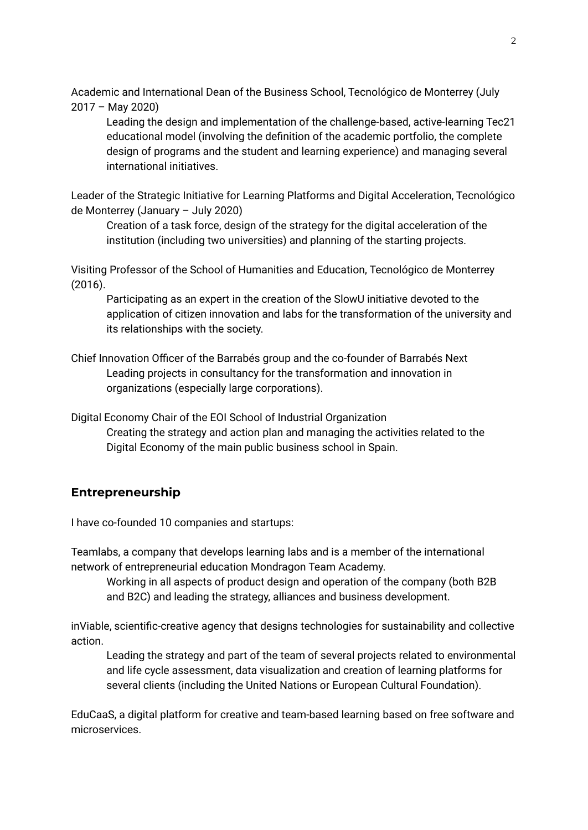Academic and International Dean of the Business School, Tecnológico de Monterrey (July 2017 – May 2020)

Leading the design and implementation of the challenge-based, active-learning Tec21 educational model (involving the definition of the academic portfolio, the complete design of programs and the student and learning experience) and managing several international initiatives.

Leader of the Strategic Initiative for Learning Platforms and Digital Acceleration, Tecnológico de Monterrey (January – July 2020)

Creation of a task force, design of the strategy for the digital acceleration of the institution (including two universities) and planning of the starting projects.

Visiting Professor of the School of Humanities and Education, Tecnológico de Monterrey (2016).

Participating as an expert in the creation of the SlowU initiative devoted to the application of citizen innovation and labs for the transformation of the university and its relationships with the society.

Chief Innovation Officer of the Barrabés group and the co-founder of Barrabés Next Leading projects in consultancy for the transformation and innovation in organizations (especially large corporations).

Digital Economy Chair of the EOI School of Industrial Organization Creating the strategy and action plan and managing the activities related to the Digital Economy of the main public business school in Spain.

## **Entrepreneurship**

I have co-founded 10 companies and startups:

Teamlabs, a company that develops learning labs and is a member of the international network of entrepreneurial education Mondragon Team Academy.

Working in all aspects of product design and operation of the company (both B2B and B2C) and leading the strategy, alliances and business development.

inViable, scientific-creative agency that designs technologies for sustainability and collective action.

Leading the strategy and part of the team of several projects related to environmental and life cycle assessment, data visualization and creation of learning platforms for several clients (including the United Nations or European Cultural Foundation).

EduCaaS, a digital platform for creative and team-based learning based on free software and microservices.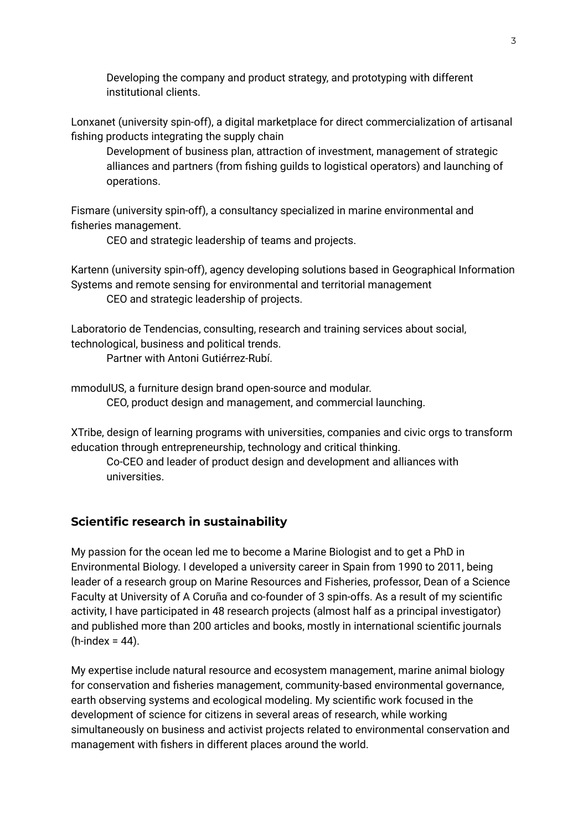Developing the company and product strategy, and prototyping with different institutional clients.

Lonxanet (university spin-off), a digital marketplace for direct commercialization of artisanal fishing products integrating the supply chain

Development of business plan, attraction of investment, management of strategic alliances and partners (from fishing guilds to logistical operators) and launching of operations.

Fismare (university spin-off), a consultancy specialized in marine environmental and fisheries management.

CEO and strategic leadership of teams and projects.

Kartenn (university spin-off), agency developing solutions based in Geographical Information Systems and remote sensing for environmental and territorial management CEO and strategic leadership of projects.

Laboratorio de Tendencias, consulting, research and training services about social, technological, business and political trends.

Partner with Antoni Gutiérrez-Rubí.

mmodulUS, a furniture design brand open-source and modular. CEO, product design and management, and commercial launching.

XTribe, design of learning programs with universities, companies and civic orgs to transform education through entrepreneurship, technology and critical thinking.

Co-CEO and leader of product design and development and alliances with universities.

## **Scientific research in sustainability**

My passion for the ocean led me to become a Marine Biologist and to get a PhD in Environmental Biology. I developed a university career in Spain from 1990 to 2011, being leader of a research group on Marine Resources and Fisheries, professor, Dean of a Science Faculty at University of A Coruña and co-founder of 3 spin-offs. As a result of my scientific activity, I have participated in 48 research projects (almost half as a principal investigator) and published more than 200 articles and books, mostly in international scientific journals  $(h$ -index = 44).

My expertise include natural resource and ecosystem management, marine animal biology for conservation and fisheries management, community-based environmental governance, earth observing systems and ecological modeling. My scientific work focused in the development of science for citizens in several areas of research, while working simultaneously on business and activist projects related to environmental conservation and management with fishers in different places around the world.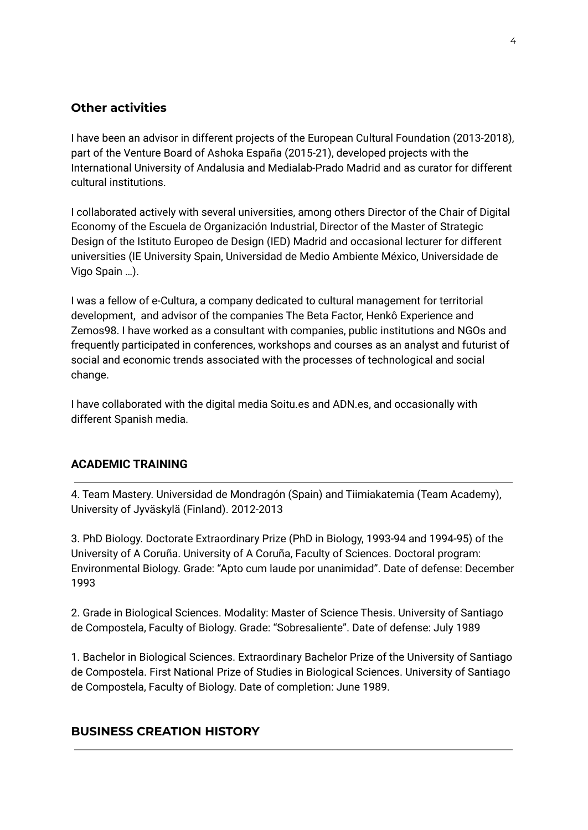### **Other activities**

I have been an advisor in different projects of the European Cultural Foundation (2013-2018), part of the Venture Board of Ashoka España (2015-21), developed projects with the International University of Andalusia and Medialab-Prado Madrid and as curator for different cultural institutions.

I collaborated actively with several universities, among others Director of the Chair of Digital Economy of the Escuela de Organización Industrial, Director of the Master of Strategic Design of the Istituto Europeo de Design (IED) Madrid and occasional lecturer for different universities (IE University Spain, Universidad de Medio Ambiente México, Universidade de Vigo Spain …).

I was a fellow of e-Cultura, a company dedicated to cultural management for territorial development, and advisor of the companies The Beta Factor, Henkô Experience and Zemos98. I have worked as a consultant with companies, public institutions and NGOs and frequently participated in conferences, workshops and courses as an analyst and futurist of social and economic trends associated with the processes of technological and social change.

I have collaborated with the digital media Soitu.es and ADN.es, and occasionally with different Spanish media.

#### **ACADEMIC TRAINING**

4. Team Mastery. Universidad de Mondragón (Spain) and Tiimiakatemia (Team Academy), University of Jyväskylä (Finland). 2012-2013

3. PhD Biology. Doctorate Extraordinary Prize (PhD in Biology, 1993-94 and 1994-95) of the University of A Coruña. University of A Coruña, Faculty of Sciences. Doctoral program: Environmental Biology. Grade: "Apto cum laude por unanimidad". Date of defense: December 1993

2. Grade in Biological Sciences. Modality: Master of Science Thesis. University of Santiago de Compostela, Faculty of Biology. Grade: "Sobresaliente". Date of defense: July 1989

1. Bachelor in Biological Sciences. Extraordinary Bachelor Prize of the University of Santiago de Compostela. First National Prize of Studies in Biological Sciences. University of Santiago de Compostela, Faculty of Biology. Date of completion: June 1989.

#### **BUSINESS CREATION HISTORY**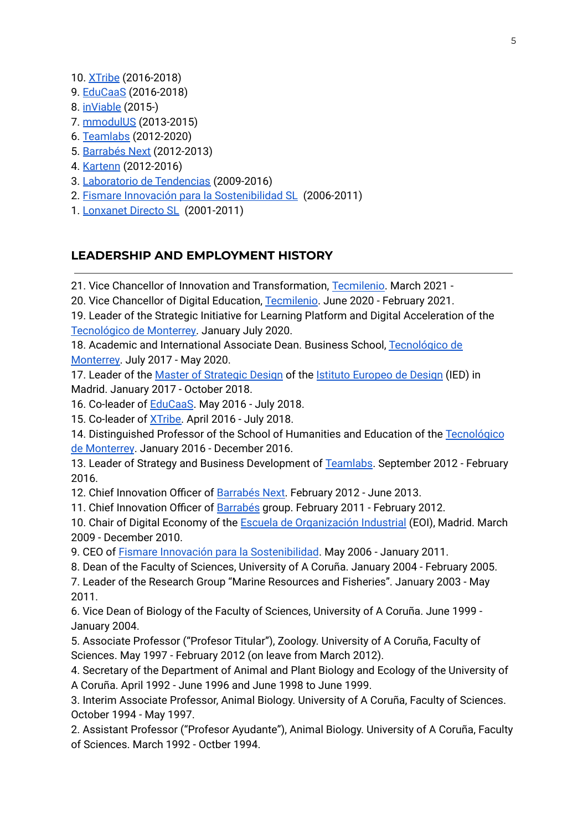- 10. [XTribe](http://www.xtribe.university/) (2016-2018)
- 9. [EduCaaS](http://www.educaas.io/) (2016-2018)
- 8. [inViable](http://www.inviable.is/) (2015-)
- 7. [mmodulUS](http://www.mmodulus.com/) (2013-2015)
- 6. [Teamlabs](http://www.teamlabs.es/) (2012-2020)
- 5. [Barrabés](http://www.barrabesnext.com/) Next (2012-2013)
- 4. [Kartenn](http://www.kartenn.es/) (2012-2016)
- 3. Laboratorio de [Tendencias](http://www.laboratoriodetendencias.com/) (2009-2016)
- 2. Fismare Innovación para la [Sostenibilidad](http://www.fismare.com/) SL (2006-2011)
- 1. [Lonxanet](http://www.lonxanet.com/) Directo SL (2001-2011)

## **LEADERSHIP AND EMPLOYMENT HISTORY**

21. Vice Chancellor of Innovation and Transformation, [Tecmilenio](https://www.tecmilenio.mx/). March 2021 -

20. Vice Chancellor of Digital Education, [Tecmilenio](https://www.tecmilenio.mx/). June 2020 - February 2021.

19. Leader of the Strategic Initiative for Learning Platform and Digital Acceleration of the [Tecnológico](http://www.tec.mx/) de Monterrey. January July 2020.

18. Academic and International Associate Dean. Business School, [Tecnológico](http://www.tec.mx/) de [Monterrey.](http://www.tec.mx/) July 2017 - May 2020.

17. Leader of the Master of [Strategic](http://www.apple.es) Design of the Istituto [Europeo](http://iedmadrid.com/) de Design (IED) in Madrid. January 2017 - October 2018.

16. Co-leader of [EduCaaS](http://www.educaas.io/). May 2016 - July 2018.

15. Co-leader of [XTribe.](http://www.xtribe.university/) April 2016 - July 2018.

14. Distinguished Professor of the School of Humanities and Education of the [Tecnológico](http://www.apple.es) de [Monterrey](http://www.apple.es). January 2016 - December 2016.

13. Leader of Strategy and Business Development of [Teamlabs.](http://www.teamlabs.es) September 2012 - February 2016.

12. Chief Innovation Officer of [Barrabés](http://www.barrabesnext.com/) Next. February 2012 - June 2013.

11. Chief Innovation Officer of [Barrabés](http://www.barrabes.biz/) group. February 2011 - February 2012.

10. Chair of Digital Economy of the Escuela de [Organización](http://www.eoi.es/) Industrial (EOI), Madrid. March 2009 - December 2010.

9. CEO of Fismare Innovación para la [Sostenibilidad](http://www.fismare.com/). May 2006 - January 2011.

8. Dean of the Faculty of Sciences, University of A Coruña. January 2004 - February 2005.

7. Leader of the Research Group "Marine Resources and Fisheries". January 2003 - May 2011.

6. Vice Dean of Biology of the Faculty of Sciences, University of A Coruña. June 1999 - January 2004.

5. Associate Professor ("Profesor Titular"), Zoology. University of A Coruña, Faculty of Sciences. May 1997 - February 2012 (on leave from March 2012).

4. Secretary of the Department of Animal and Plant Biology and Ecology of the University of A Coruña. April 1992 - June 1996 and June 1998 to June 1999.

3. Interim Associate Professor, Animal Biology. University of A Coruña, Faculty of Sciences. October 1994 - May 1997.

2. Assistant Professor ("Profesor Ayudante"), Animal Biology. University of A Coruña, Faculty of Sciences. March 1992 - Octber 1994.